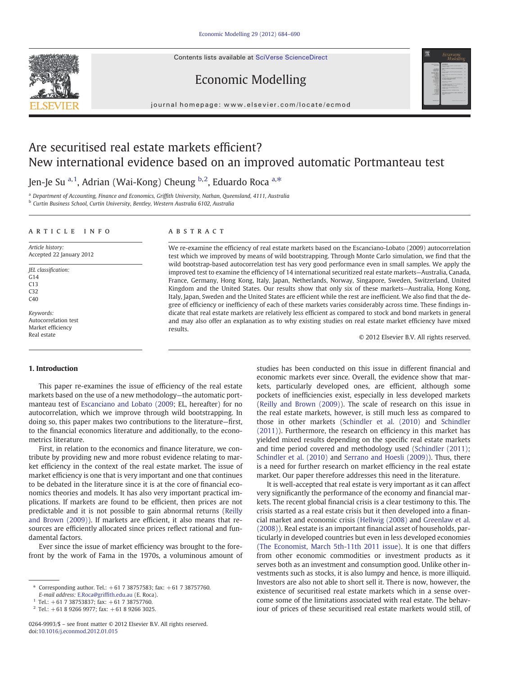Contents lists available at [SciVerse ScienceDirect](http://www.sciencedirect.com/science/journal/02649993)





## Economic Modelling

journal homepage: www.elsevier.com/locate/ecmod

## Are securitised real estate markets efficient? New international evidence based on an improved automatic Portmanteau test

Jen-Je Su <sup>a, 1</sup>, Adrian (Wai-Kong) Cheung <sup>b, 2</sup>, Eduardo Roca <sup>a,\*</sup>

<sup>a</sup> Department of Accounting, Finance and Economics, Griffith University, Nathan, Queensland, 4111, Australia <sup>b</sup> Curtin Business School, Curtin University, Bentley, Western Australia 6102, Australia

#### article info abstract

Article history: Accepted 22 January 2012

JEL classification:  $G<sub>14</sub>$ C13  $C32$ C40

Keywords: Autocorrelation test Market efficiency Real estate

We re-examine the efficiency of real estate markets based on the Escanciano-Lobato (2009) autocorrelation test which we improved by means of wild bootstrapping. Through Monte Carlo simulation, we find that the wild bootstrap-based autocorrelation test has very good performance even in small samples. We apply the improved test to examine the efficiency of 14 international securitized real estate markets—Australia, Canada, France, Germany, Hong Kong, Italy, Japan, Netherlands, Norway, Singapore, Sweden, Switzerland, United Kingdom and the United States. Our results show that only six of these markets—Australia, Hong Kong, Italy, Japan, Sweden and the United States are efficient while the rest are inefficient. We also find that the degree of efficiency or inefficiency of each of these markets varies considerably across time. These findings indicate that real estate markets are relatively less efficient as compared to stock and bond markets in general and may also offer an explanation as to why existing studies on real estate market efficiency have mixed results.

© 2012 Elsevier B.V. All rights reserved.

### 1. Introduction

This paper re-examines the issue of efficiency of the real estate markets based on the use of a new methodology—the automatic portmanteau test of [Escanciano and Lobato \(2009;](#page--1-0) EL, hereafter) for no autocorrelation, which we improve through wild bootstrapping. In doing so, this paper makes two contributions to the literature—first, to the financial economics literature and additionally, to the econometrics literature.

First, in relation to the economics and finance literature, we contribute by providing new and more robust evidence relating to market efficiency in the context of the real estate market. The issue of market efficiency is one that is very important and one that continues to be debated in the literature since it is at the core of financial economics theories and models. It has also very important practical implications. If markets are found to be efficient, then prices are not predictable and it is not possible to gain abnormal returns [\(Reilly](#page--1-0) [and Brown \(2009\)](#page--1-0)). If markets are efficient, it also means that resources are efficiently allocated since prices reflect rational and fundamental factors.

Ever since the issue of market efficiency was brought to the forefront by the work of Fama in the 1970s, a voluminous amount of studies has been conducted on this issue in different financial and economic markets ever since. Overall, the evidence show that markets, particularly developed ones, are efficient, although some pockets of inefficiencies exist, especially in less developed markets [\(Reilly and Brown \(2009\)\)](#page--1-0). The scale of research on this issue in the real estate markets, however, is still much less as compared to those in other markets [\(Schindler et al. \(2010\)](#page--1-0) and [Schindler](#page--1-0) [\(2011\)\)](#page--1-0). Furthermore, the research on efficiency in this market has yielded mixed results depending on the specific real estate markets and time period covered and methodology used ([Schindler \(2011\)](#page--1-0); [Schindler et al. \(2010\)](#page--1-0) and [Serrano and Hoesli \(2009\)](#page--1-0)). Thus, there is a need for further research on market efficiency in the real estate market. Our paper therefore addresses this need in the literature.

It is well-accepted that real estate is very important as it can affect very significantly the performance of the economy and financial markets. The recent global financial crisis is a clear testimony to this. The crisis started as a real estate crisis but it then developed into a financial market and economic crisis [\(Hellwig \(2008\)](#page--1-0) and [Greenlaw et al.](#page--1-0) [\(2008\)\)](#page--1-0). Real estate is an important financial asset of households, particularly in developed countries but even in less developed economies [\(The Economist, March 5th-11th 2011 issue\)](#page--1-0). It is one that differs from other economic commodities or investment products as it serves both as an investment and consumption good. Unlike other investments such as stocks, it is also lumpy and hence, is more illiquid. Investors are also not able to short sell it. There is now, however, the existence of securitised real estate markets which in a sense overcome some of the limitations associated with real estate. The behaviour of prices of these securitised real estate markets would still, of

<sup>⁎</sup> Corresponding author. Tel.: +61 7 38757583; fax: +61 7 38757760.

E-mail address: [E.Roca@grif](mailto:E.Roca@griffith.edu.au)fith.edu.au (E. Roca).

 $1$  Tel.:  $+61$  7 38753837; fax:  $+61$  7 38757760.

 $2$  Tel.: +61 8 9266 9977; fax: +61 8 9266 3025.

<sup>0264-9993/\$</sup> – see front matter © 2012 Elsevier B.V. All rights reserved. doi[:10.1016/j.econmod.2012.01.015](http://dx.doi.org/10.1016/j.econmod.2012.01.015)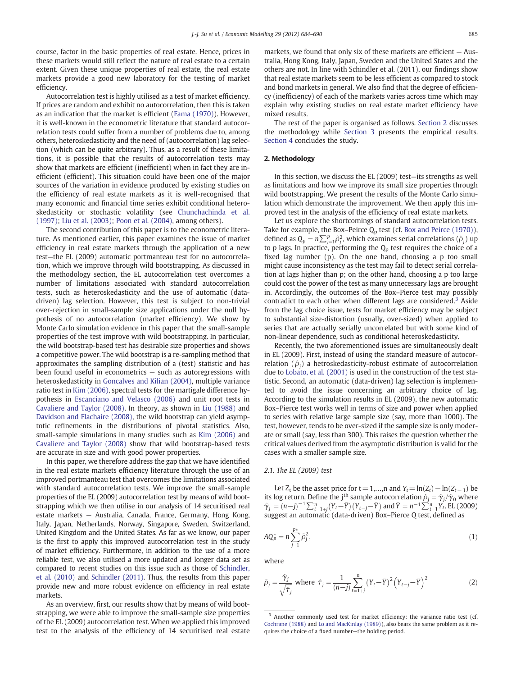course, factor in the basic properties of real estate. Hence, prices in these markets would still reflect the nature of real estate to a certain extent. Given these unique properties of real estate, the real estate markets provide a good new laboratory for the testing of market efficiency.

Autocorrelation test is highly utilised as a test of market efficiency. If prices are random and exhibit no autocorrelation, then this is taken as an indication that the market is efficient [\(Fama \(1970\)](#page--1-0)). However, it is well-known in the econometric literature that standard autocorrelation tests could suffer from a number of problems due to, among others, heteroskedasticity and the need of (autocorrelation) lag selection (which can be quite arbitrary). Thus, as a result of these limitations, it is possible that the results of autocorrelation tests may show that markets are efficient (inefficient) when in fact they are inefficient (efficient). This situation could have been one of the major sources of the variation in evidence produced by existing studies on the efficiency of real estate markets as it is well-recognised that many economic and financial time series exhibit conditional heteroskedasticity or stochastic volatility (see [Chunchachinda et al.](#page--1-0) [\(1997\);](#page--1-0) [Liu et al. \(2003\)](#page--1-0); [Poon et al. \(2004\)](#page--1-0), among others).

The second contribution of this paper is to the econometric literature. As mentioned earlier, this paper examines the issue of market efficiency in real estate markets through the application of a new test—the EL (2009) automatic portmanteau test for no autocorrelation, which we improve through wild bootstrapping. As discussed in the methodology section, the EL autocorrelation test overcomes a number of limitations associated with standard autocorrelation tests, such as heteroskedasticity and the use of automatic (datadriven) lag selection. However, this test is subject to non-trivial over-rejection in small-sample size applications under the null hypothesis of no autocorrelation (market efficiency). We show by Monte Carlo simulation evidence in this paper that the small-sample properties of the test improve with wild bootstrapping. In particular, the wild bootstrap-based test has desirable size properties and shows a competitive power. The wild bootstrap is a re-sampling method that approximates the sampling distribution of a (test) statistic and has been found useful in econometrics — such as autoregressions with heteroskedasticity in [Goncalves and Kilian \(2004\)](#page--1-0), multiple variance ratio test in [Kim \(2006\),](#page--1-0) spectral tests for the martigale difference hypothesis in [Escanciano and Velasco \(2006\)](#page--1-0) and unit root tests in [Cavaliere and Taylor \(2008\)](#page--1-0). In theory, as shown in [Liu \(1988\)](#page--1-0) and [Davidson and Flachaire \(2008\),](#page--1-0) the wild bootstrap can yield asymptotic refinements in the distributions of pivotal statistics. Also, small-sample simulations in many studies such as [Kim \(2006\)](#page--1-0) and [Cavaliere and Taylor \(2008\)](#page--1-0) show that wild bootstrap-based tests are accurate in size and with good power properties.

In this paper, we therefore address the gap that we have identified in the real estate markets efficiency literature through the use of an improved portmanteau test that overcomes the limitations associated with standard autocorrelation tests. We improve the small-sample properties of the EL (2009) autocorrelation test by means of wild bootstrapping which we then utilise in our analysis of 14 securitised real estate markets — Australia, Canada, France, Germany, Hong Kong, Italy, Japan, Netherlands, Norway, Singapore, Sweden, Switzerland, United Kingdom and the United States. As far as we know, our paper is the first to apply this improved autocorrelation test in the study of market efficiency. Furthermore, in addition to the use of a more reliable test, we also utilised a more updated and longer data set as compared to recent studies on this issue such as those of [Schindler,](#page--1-0) [et al. \(2010\)](#page--1-0) and [Schindler \(2011\).](#page--1-0) Thus, the results from this paper provide new and more robust evidence on efficiency in real estate markets.

As an overview, first, our results show that by means of wild bootstrapping, we were able to improve the small-sample size properties of the EL (2009) autocorrelation test. When we applied this improved test to the analysis of the efficiency of 14 securitised real estate markets, we found that only six of these markets are efficient — Australia, Hong Kong, Italy, Japan, Sweden and the United States and the others are not. In line with Schindler et al. (2011), our findings show that real estate markets seem to be less efficient as compared to stock and bond markets in general. We also find that the degree of efficiency (inefficiency) of each of the markets varies across time which may explain why existing studies on real estate market efficiency have mixed results.

The rest of the paper is organised as follows. Section 2 discusses the methodology while [Section 3](#page--1-0) presents the empirical results. [Section 4](#page--1-0) concludes the study.

#### 2. Methodology

In this section, we discuss the EL (2009) test—its strengths as well as limitations and how we improve its small size properties through wild bootstrapping. We present the results of the Monte Carlo simulation which demonstrate the improvement. We then apply this improved test in the analysis of the efficiency of real estate markets.

Let us explore the shortcomings of standard autocorrelation tests. Take for example, the Box–Peirce  $Q_p$  test (cf. [Box and Peirce \(1970\)](#page--1-0)), defined as  $Q_p = n \sum_{j=1}^p \hat{\rho}_j^2$ , which examines serial correlations  $(\hat{\rho}_j)$  up to p lags. In practice, performing the  $Q_p$  test requires the choice of a fixed lag number (p). On the one hand, choosing a p too small might cause inconsistency as the test may fail to detect serial correlation at lags higher than p; on the other hand, choosing a p too large could cost the power of the test as many unnecessary lags are brought in. Accordingly, the outcomes of the Box–Pierce test may possibly contradict to each other when different lags are considered.<sup>3</sup> Aside from the lag choice issue, tests for market efficiency may be subject to substantial size-distortion (usually, over-sized) when applied to series that are actually serially uncorrelated but with some kind of non-linear dependence, such as conditional heteroskedasticity.

Recently, the two aforementioned issues are simultaneously dealt in EL (2009). First, instead of using the standard measure of autocorrelation  $(\hat{\rho}_j)$  a hetroskedasticity-robust estimate of autocorrelation due to [Lobato, et al. \(2001\)](#page--1-0) is used in the construction of the test statistic. Second, an automatic (data-driven) lag selection is implemented to avoid the issue concerning an arbitrary choice of lag. According to the simulation results in EL (2009), the new automatic Box–Pierce test works well in terms of size and power when applied to series with relative large sample size (say, more than 1000). The test, however, tends to be over-sized if the sample size is only moderate or small (say, less than 300). This raises the question whether the critical values derived from the asymptotic distribution is valid for the cases with a smaller sample size.

#### 2.1. The EL (2009) test

Let  $Z_t$  be the asset price for t = 1,…,n and  $Y_t = \ln(Z_t) - \ln(Z_{t-1})$  be its log return. Define the j<sup>th</sup> sample autocorrelation  $\hat{\rho}_j = \hat{\gamma}_j / \hat{\gamma}_0$  where  $\hat{\gamma}_j = (n-j)^{-1} \sum_{t=1+j}^n (Y_t - \bar{Y}) (Y_{t-j} - \bar{Y})$  and  $\bar{Y} = n^{-1} \sum_{t=1}^n Y_t$ . EL (2009) suggest an automatic (data-driven) Box–Pierce Q test, defined as

$$
AQ_{\tilde{p}} = n \sum_{j=1}^{p*} \tilde{\rho}_j^2, \tag{1}
$$

where

$$
\tilde{\rho}_j = \frac{\hat{\gamma}_j}{\sqrt{\hat{\tau}_j}} \text{ where } \hat{\tau}_j = \frac{1}{(n-j)} \sum_{t=1+j}^n (Y_t - \bar{Y})^2 (Y_{t-j} - \bar{Y})^2 \tag{2}
$$

<sup>&</sup>lt;sup>3</sup> Another commonly used test for market efficiency: the variance ratio test (cf. [Cochrane \(1988\)](#page--1-0) and [Lo and MacKinlay \(1989\)\)](#page--1-0), also bears the same problem as it requires the choice of a fixed number—the holding period.